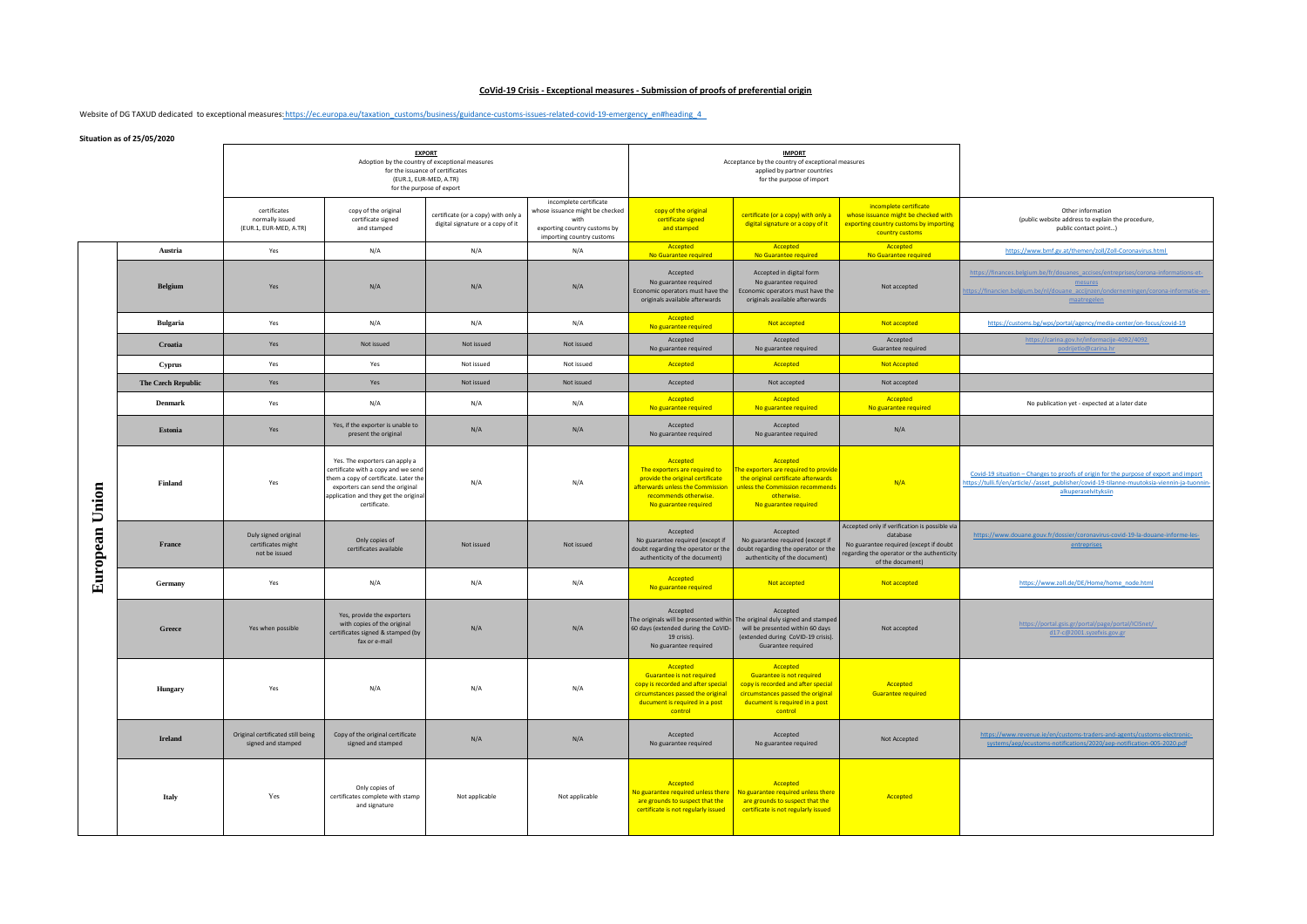## **CoVid-19 Crisis - Exceptional measures - Submission of proofs of preferential origin**

Website of DG TAXUD dedicated to exceptional measures: https://ec.europa.eu/taxation\_customs/business/guidance-customs-issues-related-covid-19-emergency\_en#heading\_4

**Situation as of 25/05/2020**

| <b>Situation as of 25/05/2020</b> |                           |                                                                                                                                                             |                                                                                                                                                                                                            |                                                                          |                                                                                                                                |                                                                                                                                                                      |                                                                                                                                                                      |                                                                                                                                                                       |                                                                                                                                                                                                              |
|-----------------------------------|---------------------------|-------------------------------------------------------------------------------------------------------------------------------------------------------------|------------------------------------------------------------------------------------------------------------------------------------------------------------------------------------------------------------|--------------------------------------------------------------------------|--------------------------------------------------------------------------------------------------------------------------------|----------------------------------------------------------------------------------------------------------------------------------------------------------------------|----------------------------------------------------------------------------------------------------------------------------------------------------------------------|-----------------------------------------------------------------------------------------------------------------------------------------------------------------------|--------------------------------------------------------------------------------------------------------------------------------------------------------------------------------------------------------------|
|                                   |                           | <b>EXPORT</b><br>Adoption by the country of exceptional measures<br>for the issuance of certificates<br>(EUR.1, EUR-MED, A.TR)<br>for the purpose of export |                                                                                                                                                                                                            |                                                                          |                                                                                                                                | <b>IMPORT</b><br>Acceptance by the country of exceptional measures<br>applied by partner countries<br>for the purpose of import                                      |                                                                                                                                                                      |                                                                                                                                                                       |                                                                                                                                                                                                              |
|                                   |                           | certificates<br>normally issued<br>(EUR.1, EUR-MED, A.TR)                                                                                                   | copy of the original<br>certificate signed<br>and stamped                                                                                                                                                  | certificate (or a copy) with only a<br>digital signature or a copy of it | incomplete certificate<br>whose issuance might be checked<br>with<br>exporting country customs by<br>importing country customs | copy of the original<br>certificate signed<br>and stamped                                                                                                            | certificate (or a copy) with only a<br>digital signature or a copy of it                                                                                             | incomplete certificate<br>whose issuance might be checked with<br>exporting country customs by importing<br>country customs                                           | Other information<br>(public website address to explain the procedure,<br>public contact point)                                                                                                              |
|                                   | Austria                   | Yes                                                                                                                                                         | N/A                                                                                                                                                                                                        | N/A                                                                      | N/A                                                                                                                            | Accepted<br>No Guarantee required                                                                                                                                    | Accepted<br>No Guarantee required                                                                                                                                    | Accepted<br>No Guarantee required                                                                                                                                     | https://www.bmf.gv.at/themen/zoll/Zoll-Coronavirus.html                                                                                                                                                      |
|                                   | <b>Belgium</b>            | Yes                                                                                                                                                         | N/A                                                                                                                                                                                                        | N/A                                                                      | N/A                                                                                                                            | Accepted<br>No guarantee required<br>Economic operators must have the<br>originals available afterwards                                                              | Accepted in digital form<br>No guarantee required<br>Economic operators must have the<br>originals available afterwards                                              | Not accepted                                                                                                                                                          | https://finances.belgium.be/fr/douanes_accises/entreprises/corona-informations-et-<br>mesures<br>https://financien.belgium.be/nl/douane_accijnzen/ondernemingen/corona-informatie-en<br>maatregelen          |
|                                   | <b>Bulgaria</b>           | Yes                                                                                                                                                         | N/A                                                                                                                                                                                                        | N/A                                                                      | N/A                                                                                                                            | Accepted<br>No guarantee required                                                                                                                                    | Not accepted                                                                                                                                                         | Not accepted                                                                                                                                                          | https://customs.bg/wps/portal/agency/media-center/on-focus/covid-19                                                                                                                                          |
|                                   | Croatia                   | Yes                                                                                                                                                         | Not issued                                                                                                                                                                                                 | Not issued                                                               | Not issued                                                                                                                     | Accepted<br>No guarantee required                                                                                                                                    | Accepted<br>No guarantee required                                                                                                                                    | Accepted<br>Guarantee required                                                                                                                                        | https://carina.gov.hr/informacije-4092/4092<br>podrijetlo@carina.hr                                                                                                                                          |
|                                   | Cyprus                    | Yes                                                                                                                                                         | Yes                                                                                                                                                                                                        | Not issued                                                               | Not issued                                                                                                                     | Accepted                                                                                                                                                             | Accepted                                                                                                                                                             | <b>Not Accepted</b>                                                                                                                                                   |                                                                                                                                                                                                              |
|                                   | <b>The Czech Republic</b> | Yes                                                                                                                                                         | Yes                                                                                                                                                                                                        | Not issued                                                               | Not issued                                                                                                                     | Accepted                                                                                                                                                             | Not accepted                                                                                                                                                         | Not accepted                                                                                                                                                          |                                                                                                                                                                                                              |
|                                   | <b>Denmark</b>            | Yes                                                                                                                                                         | N/A                                                                                                                                                                                                        | N/A                                                                      | N/A                                                                                                                            | Accepted<br>No guarantee required                                                                                                                                    | Accepted<br>No guarantee required                                                                                                                                    | Accepted<br>No guarantee required                                                                                                                                     | No publication yet - expected at a later date                                                                                                                                                                |
| Union<br>European                 | Estonia                   | Yes                                                                                                                                                         | Yes, if the exporter is unable to<br>present the original                                                                                                                                                  | N/A                                                                      | N/A                                                                                                                            | Accepted<br>No guarantee required                                                                                                                                    | Accepted<br>No guarantee required                                                                                                                                    | N/A                                                                                                                                                                   |                                                                                                                                                                                                              |
|                                   | Finland                   | Yes                                                                                                                                                         | Yes. The exporters can apply a<br>certificate with a copy and we send<br>them a copy of certificate. Later the<br>exporters can send the original<br>application and they get the original<br>certificate. | N/A                                                                      | N/A                                                                                                                            | Accepted<br>The exporters are required to<br>provide the original certificate<br>afterwards unless the Commission<br>recommends otherwise.<br>No guarantee required  | Accepted<br>The exporters are required to provide<br>the original certificate afterwards<br>unless the Commission recommends<br>otherwise.<br>No guarantee required  | N/A                                                                                                                                                                   | Covid-19 situation - Changes to proofs of origin for the purpose of export and import<br>https://tulli.fi/en/article/-/asset_publisher/covid-19-tilanne-muutoksia-viennin-ja-tuonnin<br>alkuperaselvityksiin |
|                                   | France                    | Duly signed original<br>certificates might<br>not be issued                                                                                                 | Only copies of<br>certificates available                                                                                                                                                                   | Not issued                                                               | Not issued                                                                                                                     | Accepted<br>No guarantee required (except if<br>doubt regarding the operator or the<br>authenticity of the document)                                                 | Accepted<br>No guarantee required (except if<br>doubt regarding the operator or the<br>authenticity of the document)                                                 | Accepted only if verification is possible via<br>database<br>No guarantee required (except if doubt<br>regarding the operator or the authenticity<br>of the document) | https://www.douane.gouv.fr/dossier/coronavirus-covid-19-la-douane-informe-les-<br>entreprises                                                                                                                |
|                                   | Germany                   | Yes                                                                                                                                                         | N/A                                                                                                                                                                                                        | N/A                                                                      | N/A                                                                                                                            | Accepted<br>No guarantee required                                                                                                                                    | Not accepted                                                                                                                                                         | Not accepted                                                                                                                                                          | https://www.zoll.de/DE/Home/home_node.html                                                                                                                                                                   |
|                                   | Greece                    | Yes when possible                                                                                                                                           | Yes, provide the exporters<br>with copies of the original<br>certificates signed & stamped (by<br>fax or e-mail                                                                                            | N/A                                                                      | N/A                                                                                                                            | Accepted<br>The originals will be presented within<br>60 days (extended during the CoVID-<br>19 crisis).<br>No guarantee required                                    | Accepted<br>The original duly signed and stamped<br>will be presented within 60 days<br>(extended during CoVID-19 crisis).<br>Guarantee required                     | Not accepted                                                                                                                                                          | https://portal.gsis.gr/portal/page/portal/ICISnet/<br>d17-c@2001.syzefxis.gov.gr                                                                                                                             |
|                                   | Hungary                   | Yes                                                                                                                                                         | N/A                                                                                                                                                                                                        | N/A                                                                      | N/A                                                                                                                            | Accepted<br><b>Guarantee is not required</b><br>copy is recorded and after special<br>circumstances passed the original<br>ducument is required in a post<br>control | Accepted<br><b>Guarantee is not required</b><br>copy is recorded and after special<br>circumstances passed the original<br>ducument is required in a post<br>control | Accepted<br><b>Guarantee required</b>                                                                                                                                 |                                                                                                                                                                                                              |
|                                   | <b>Ireland</b>            | Original certificated still being<br>signed and stamped                                                                                                     | Copy of the original certificate<br>signed and stamped                                                                                                                                                     | N/A                                                                      | N/A                                                                                                                            | Accepted<br>No guarantee required                                                                                                                                    | Accepted<br>No guarantee required                                                                                                                                    | Not Accepted                                                                                                                                                          | https://www.revenue.ie/en/customs-traders-and-agents/customs-electronic-<br>systems/aep/ecustoms-notifications/2020/aep-notification-005-2020.pdf                                                            |
|                                   | Italy                     | Yes                                                                                                                                                         | Only copies of<br>certificates complete with stamp<br>and signature                                                                                                                                        | Not applicable                                                           | Not applicable                                                                                                                 | Accepted<br>No guarantee required unless there<br>are grounds to suspect that the<br>certificate is not regularly issued                                             | Accepted<br>No guarantee required unless there<br>are grounds to suspect that the<br>certificate is not regularly issued                                             | Accepted                                                                                                                                                              |                                                                                                                                                                                                              |